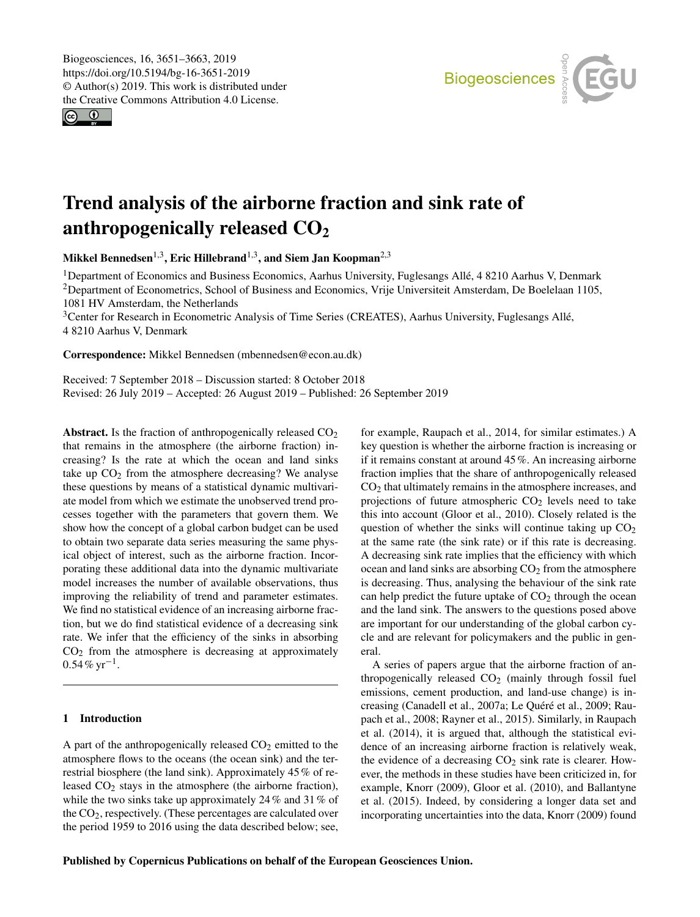<span id="page-0-1"></span> $\circledcirc$ 



# Trend analysis of the airborne fraction and sink rate of anthropogenically released  $CO<sub>2</sub>$

Mikkel Bennedsen $^{1,3}$  $^{1,3}$  $^{1,3}$ , Eric Hillebrand $^{1,3}$ , and Siem Jan Koopman $^{2,3}$  $^{2,3}$  $^{2,3}$ 

<sup>1</sup>Department of Economics and Business Economics, Aarhus University, Fuglesangs Allé, 4 8210 Aarhus V, Denmark <sup>2</sup>Department of Econometrics, School of Business and Economics, Vrije Universiteit Amsterdam, De Boelelaan 1105, 1081 HV Amsterdam, the Netherlands

<sup>3</sup>Center for Research in Econometric Analysis of Time Series (CREATES), Aarhus University, Fuglesangs Allé, 4 8210 Aarhus V, Denmark

Correspondence: Mikkel Bennedsen (mbennedsen@econ.au.dk)

Received: 7 September 2018 – Discussion started: 8 October 2018 Revised: 26 July 2019 – Accepted: 26 August 2019 – Published: 26 September 2019

<span id="page-0-0"></span>Abstract. Is the fraction of anthropogenically released  $CO<sub>2</sub>$ that remains in the atmosphere (the airborne fraction) increasing? Is the rate at which the ocean and land sinks take up  $CO<sub>2</sub>$  from the atmosphere decreasing? We analyse these questions by means of a statistical dynamic multivariate model from which we estimate the unobserved trend processes together with the parameters that govern them. We show how the concept of a global carbon budget can be used to obtain two separate data series measuring the same physical object of interest, such as the airborne fraction. Incorporating these additional data into the dynamic multivariate model increases the number of available observations, thus improving the reliability of trend and parameter estimates. We find no statistical evidence of an increasing airborne fraction, but we do find statistical evidence of a decreasing sink rate. We infer that the efficiency of the sinks in absorbing  $CO<sub>2</sub>$  from the atmosphere is decreasing at approximately  $0.54\% \text{ yr}^{-1}$ .

# 1 Introduction

A part of the anthropogenically released  $CO<sub>2</sub>$  emitted to the atmosphere flows to the oceans (the ocean sink) and the terrestrial biosphere (the land sink). Approximately 45% of released CO<sup>2</sup> stays in the atmosphere (the airborne fraction), while the two sinks take up approximately 24% and 31% of the  $CO<sub>2</sub>$ , respectively. (These percentages are calculated over the period 1959 to 2016 using the data described below; see,

for example, [Raupach et al.,](#page-12-0) [2014,](#page-12-0) for similar estimates.) A key question is whether the airborne fraction is increasing or if it remains constant at around 45%. An increasing airborne fraction implies that the share of anthropogenically released  $CO<sub>2</sub>$  that ultimately remains in the atmosphere increases, and projections of future atmospheric  $CO<sub>2</sub>$  levels need to take this into account [\(Gloor et al.,](#page-11-0) [2010\)](#page-11-0). Closely related is the question of whether the sinks will continue taking up  $CO<sub>2</sub>$ at the same rate (the sink rate) or if this rate is decreasing. A decreasing sink rate implies that the efficiency with which ocean and land sinks are absorbing  $CO<sub>2</sub>$  from the atmosphere is decreasing. Thus, analysing the behaviour of the sink rate can help predict the future uptake of  $CO<sub>2</sub>$  through the ocean and the land sink. The answers to the questions posed above are important for our understanding of the global carbon cycle and are relevant for policymakers and the public in general.

A series of papers argue that the airborne fraction of anthropogenically released  $CO<sub>2</sub>$  (mainly through fossil fuel emissions, cement production, and land-use change) is increasing [\(Canadell et al.,](#page-11-1) [2007a;](#page-11-1) [Le Quéré et al.,](#page-12-1) [2009;](#page-12-1) [Rau](#page-12-2)[pach et al.,](#page-12-2) [2008;](#page-12-2) [Rayner et al.,](#page-12-3) [2015\)](#page-12-3). Similarly, in [Raupach](#page-12-0) [et al.](#page-12-0) [\(2014\)](#page-12-0), it is argued that, although the statistical evidence of an increasing airborne fraction is relatively weak, the evidence of a decreasing  $CO<sub>2</sub>$  sink rate is clearer. However, the methods in these studies have been criticized in, for example, [Knorr](#page-12-4) [\(2009\)](#page-12-4), [Gloor et al.](#page-11-0) [\(2010\)](#page-11-0), and [Ballantyne](#page-11-2) [et al.](#page-11-2) [\(2015\)](#page-11-2). Indeed, by considering a longer data set and incorporating uncertainties into the data, [Knorr](#page-12-4) [\(2009\)](#page-12-4) found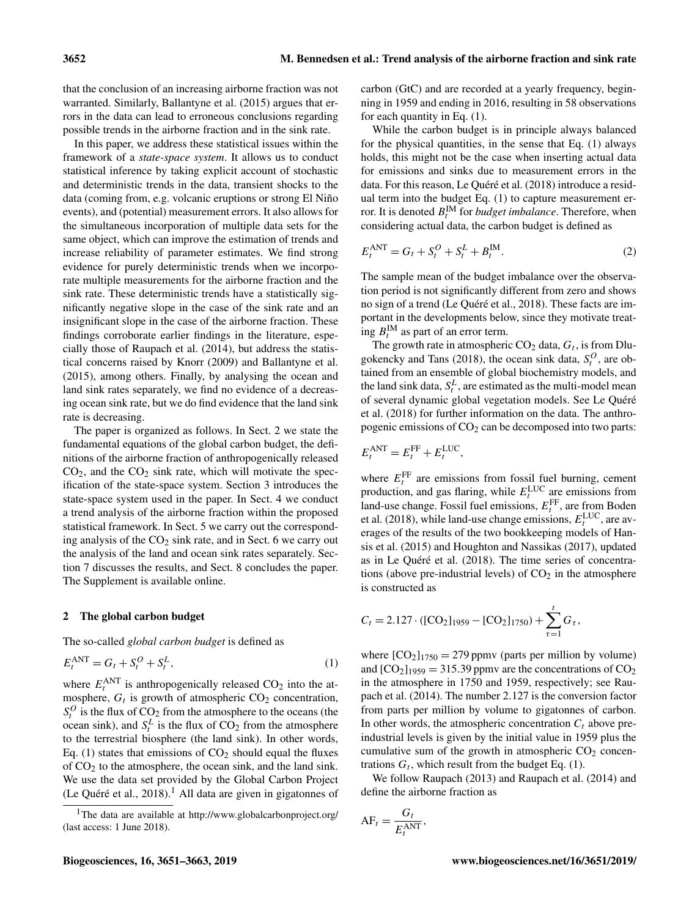that the conclusion of an increasing airborne fraction was not warranted. Similarly, [Ballantyne et al.](#page-11-2) [\(2015\)](#page-11-2) argues that errors in the data can lead to erroneous conclusions regarding possible trends in the airborne fraction and in the sink rate.

In this paper, we address these statistical issues within the framework of a *state-space system*. It allows us to conduct statistical inference by taking explicit account of stochastic and deterministic trends in the data, transient shocks to the data (coming from, e.g. volcanic eruptions or strong El Niño events), and (potential) measurement errors. It also allows for the simultaneous incorporation of multiple data sets for the same object, which can improve the estimation of trends and increase reliability of parameter estimates. We find strong evidence for purely deterministic trends when we incorporate multiple measurements for the airborne fraction and the sink rate. These deterministic trends have a statistically significantly negative slope in the case of the sink rate and an insignificant slope in the case of the airborne fraction. These findings corroborate earlier findings in the literature, especially those of [Raupach et al.](#page-12-0) [\(2014\)](#page-12-0), but address the statistical concerns raised by [Knorr](#page-12-4) [\(2009\)](#page-12-4) and [Ballantyne et al.](#page-11-2) [\(2015\)](#page-11-2), among others. Finally, by analysing the ocean and land sink rates separately, we find no evidence of a decreasing ocean sink rate, but we do find evidence that the land sink rate is decreasing.

The paper is organized as follows. In Sect. [2](#page-1-0) we state the fundamental equations of the global carbon budget, the definitions of the airborne fraction of anthropogenically released  $CO<sub>2</sub>$ , and the  $CO<sub>2</sub>$  sink rate, which will motivate the specification of the state-space system. Section [3](#page-2-0) introduces the state-space system used in the paper. In Sect. [4](#page-3-0) we conduct a trend analysis of the airborne fraction within the proposed statistical framework. In Sect. [5](#page-4-0) we carry out the corresponding analysis of the  $CO<sub>2</sub>$  sink rate, and in Sect. [6](#page-6-0) we carry out the analysis of the land and ocean sink rates separately. Section [7](#page-7-0) discusses the results, and Sect. [8](#page-9-0) concludes the paper. The Supplement is available online.

# <span id="page-1-0"></span>2 The global carbon budget

The so-called *global carbon budget* is defined as

$$
E_t^{\text{ANT}} = G_t + S_t^O + S_t^L,\tag{1}
$$

where  $E_t^{\text{ANT}}$  is anthropogenically released  $CO_2$  into the atmosphere,  $G_t$  is growth of atmospheric  $CO_2$  concentration,  $S_t^O$  is the flux of  $CO_2$  from the atmosphere to the oceans (the ocean sink), and  $S_t^L$  is the flux of  $CO_2$  from the atmosphere to the terrestrial biosphere (the land sink). In other words, Eq. [\(1\)](#page-1-1) states that emissions of  $CO<sub>2</sub>$  should equal the fluxes of  $CO<sub>2</sub>$  to the atmosphere, the ocean sink, and the land sink. We use the data set provided by the Global Carbon Project [\(Le Quéré et al.,](#page-12-5)  $2018$ ).<sup>1</sup> All data are given in gigatonnes of carbon (GtC) and are recorded at a yearly frequency, beginning in 1959 and ending in 2016, resulting in 58 observations for each quantity in Eq. [\(1\)](#page-1-1).

While the carbon budget is in principle always balanced for the physical quantities, in the sense that Eq. [\(1\)](#page-1-1) always holds, this might not be the case when inserting actual data for emissions and sinks due to measurement errors in the data. For this reason, [Le Quéré et al.](#page-12-5) [\(2018\)](#page-12-5) introduce a residual term into the budget Eq. [\(1\)](#page-1-1) to capture measurement error. It is denoted  $B_t^{\text{IM}}$  for *budget imbalance*. Therefore, when considering actual data, the carbon budget is defined as

<span id="page-1-2"></span>
$$
E_t^{\text{ANT}} = G_t + S_t^O + S_t^L + B_t^{\text{IM}}.
$$
 (2)

The sample mean of the budget imbalance over the observation period is not significantly different from zero and shows no sign of a trend [\(Le Quéré et al.,](#page-12-5) [2018\)](#page-12-5). These facts are important in the developments below, since they motivate treating  $B_t^{\text{IM}}$  as part of an error term.

The growth rate in atmospheric  $CO_2$  data,  $G_t$ , is from [Dlu](#page-11-3)[gokencky and Tans](#page-11-3) [\(2018\)](#page-11-3), the ocean sink data,  $S_t^O$ , are obtained from an ensemble of global biochemistry models, and the land sink data,  $S_t^L$ , are estimated as the multi-model mean of several dynamic global vegetation models. See [Le Quéré](#page-12-5) [et al.](#page-12-5) [\(2018\)](#page-12-5) for further information on the data. The anthropogenic emissions of  $CO<sub>2</sub>$  can be decomposed into two parts:

$$
E_t^{\text{ANT}} = E_t^{\text{FF}} + E_t^{\text{LUC}},
$$

where  $E_t^{\text{FF}}$  are emissions from fossil fuel burning, cement production, and gas flaring, while  $E_t^{\text{LUC}}$  are emissions from land-use change. Fossil fuel emissions,  $E_t^{\text{FF}}$ , are from [Boden](#page-11-4) [et al.](#page-11-4) [\(2018\)](#page-11-4), while land-use change emissions,  $E_t^{\text{LUC}}$ , are averages of the results of the two bookkeeping models of [Han](#page-11-5)[sis et al.](#page-11-5) [\(2015\)](#page-11-5) and [Houghton and Nassikas](#page-11-6) [\(2017\)](#page-11-6), updated as in [Le Quéré et al.](#page-12-5) [\(2018\)](#page-12-5). The time series of concentrations (above pre-industrial levels) of  $CO<sub>2</sub>$  in the atmosphere is constructed as

$$
C_t = 2.127 \cdot ([CO_2]_{1959} - [CO_2]_{1750}) + \sum_{\tau=1}^t G_{\tau},
$$

<span id="page-1-1"></span>where  $[CO<sub>2</sub>]_{1750} = 279$  ppmv (parts per million by volume) and  $[CO_2]_{1959} = 315.39$  ppmv are the concentrations of  $CO_2$ in the atmosphere in 1750 and 1959, respectively; see [Rau](#page-12-0)[pach et al.](#page-12-0) [\(2014\)](#page-12-0). The number 2.127 is the conversion factor from parts per million by volume to gigatonnes of carbon. In other words, the atmospheric concentration  $C_t$  above preindustrial levels is given by the initial value in 1959 plus the cumulative sum of the growth in atmospheric  $CO<sub>2</sub>$  concentrations  $G_t$ , which result from the budget Eq. [\(1\)](#page-1-1).

We follow [Raupach](#page-12-6) [\(2013\)](#page-12-6) and [Raupach et al.](#page-12-0) [\(2014\)](#page-12-0) and define the airborne fraction as

$$
AF_t = \frac{G_t}{E_t^{ANT}},
$$

<sup>&</sup>lt;sup>1</sup>The data are available at <http://www.globalcarbonproject.org/> (last access: 1 June 2018).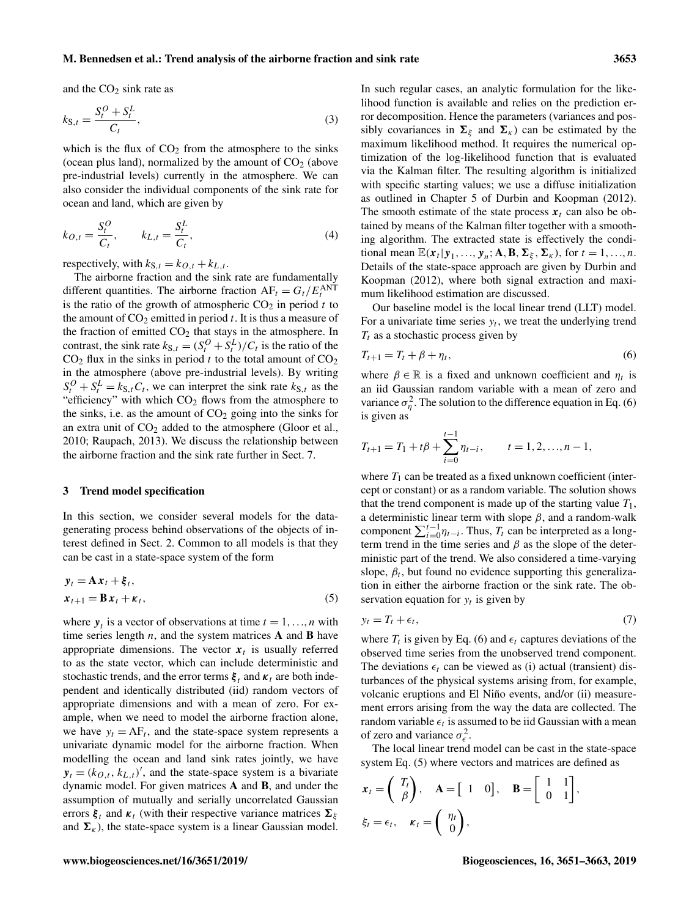### M. Bennedsen et al.: Trend analysis of the airborne fraction and sink rate 3653

and the  $CO<sub>2</sub>$  sink rate as

$$
k_{\mathbf{S},t} = \frac{S_t^O + S_t^L}{C_t},\tag{3}
$$

which is the flux of  $CO<sub>2</sub>$  from the atmosphere to the sinks (ocean plus land), normalized by the amount of  $CO<sub>2</sub>$  (above pre-industrial levels) currently in the atmosphere. We can also consider the individual components of the sink rate for ocean and land, which are given by

$$
k_{O,t} = \frac{S_t^O}{C_t}, \qquad k_{L,t} = \frac{S_t^L}{C_t},
$$
\n(4)

respectively, with  $k_{S,t} = k_{O,t} + k_{L,t}$ .

The airborne fraction and the sink rate are fundamentally different quantities. The airborne fraction  $AF_t = G_t / E_t^{ANT}$ is the ratio of the growth of atmospheric  $CO<sub>2</sub>$  in period t to the amount of  $CO_2$  emitted in period t. It is thus a measure of the fraction of emitted  $CO<sub>2</sub>$  that stays in the atmosphere. In contrast, the sink rate  $k_{S,t} = (S_t^O + S_t^L)/C_t$  is the ratio of the  $CO<sub>2</sub>$  flux in the sinks in period t to the total amount of  $CO<sub>2</sub>$ in the atmosphere (above pre-industrial levels). By writing  $S_t^O + S_t^L = k_{S,t} C_t$ , we can interpret the sink rate  $k_{S,t}$  as the "efficiency" with which CO<sub>2</sub> flows from the atmosphere to the sinks, i.e. as the amount of  $CO<sub>2</sub>$  going into the sinks for an extra unit of  $CO<sub>2</sub>$  added to the atmosphere [\(Gloor et al.,](#page-11-0) [2010;](#page-11-0) [Raupach,](#page-12-6) [2013\)](#page-12-6). We discuss the relationship between the airborne fraction and the sink rate further in Sect. [7.](#page-7-0)

### <span id="page-2-0"></span>3 Trend model specification

In this section, we consider several models for the datagenerating process behind observations of the objects of interest defined in Sect. [2.](#page-1-0) Common to all models is that they can be cast in a state-space system of the form

$$
y_t = \mathbf{A}x_t + \mathbf{\xi}_t, x_{t+1} = \mathbf{B}x_t + \kappa_t,
$$
\n(5)

where  $y_t$  is a vector of observations at time  $t = 1, ..., n$  with time series length  $n$ , and the system matrices  $A$  and  $B$  have appropriate dimensions. The vector  $x_t$  is usually referred to as the state vector, which can include deterministic and stochastic trends, and the error terms  $\xi_t$  and  $\kappa_t$  are both independent and identically distributed (iid) random vectors of appropriate dimensions and with a mean of zero. For example, when we need to model the airborne fraction alone, we have  $y_t = AF_t$ , and the state-space system represents a univariate dynamic model for the airborne fraction. When modelling the ocean and land sink rates jointly, we have  $y_t = (k_{O,t}, k_{L,t})'$ , and the state-space system is a bivariate dynamic model. For given matrices A and B, and under the assumption of mutually and serially uncorrelated Gaussian errors  $\xi_t$  and  $\kappa_t$  (with their respective variance matrices  $\Sigma_{\xi}$ and  $\Sigma_{\kappa}$ ), the state-space system is a linear Gaussian model.

In such regular cases, an analytic formulation for the likelihood function is available and relies on the prediction error decomposition. Hence the parameters (variances and possibly covariances in  $\Sigma_{\xi}$  and  $\Sigma_{\kappa}$ ) can be estimated by the maximum likelihood method. It requires the numerical optimization of the log-likelihood function that is evaluated via the Kalman filter. The resulting algorithm is initialized with specific starting values; we use a diffuse initialization as outlined in Chapter 5 of [Durbin and Koopman](#page-11-7) [\(2012\)](#page-11-7). The smooth estimate of the state process  $x_t$  can also be obtained by means of the Kalman filter together with a smoothing algorithm. The extracted state is effectively the conditional mean  $\mathbb{E}(\mathbf{x}_t | \mathbf{y}_1, ..., \mathbf{y}_n; \mathbf{A}, \mathbf{B}, \mathbf{\Sigma}_{\xi}, \mathbf{\Sigma}_{\kappa})$ , for  $t = 1, ..., n$ . Details of the state-space approach are given by [Durbin and](#page-11-7) [Koopman](#page-11-7) [\(2012\)](#page-11-7), where both signal extraction and maximum likelihood estimation are discussed.

<span id="page-2-4"></span>Our baseline model is the local linear trend (LLT) model. For a univariate time series  $y_t$ , we treat the underlying trend  $T_t$  as a stochastic process given by

<span id="page-2-1"></span>
$$
T_{t+1} = T_t + \beta + \eta_t,\tag{6}
$$

where  $\beta \in \mathbb{R}$  is a fixed and unknown coefficient and  $\eta_t$  is an iid Gaussian random variable with a mean of zero and variance  $\sigma_{\eta}^2$ . The solution to the difference equation in Eq. [\(6\)](#page-2-1) is given as

$$
T_{t+1} = T_1 + t\beta + \sum_{i=0}^{t-1} \eta_{t-i}, \qquad t = 1, 2, ..., n-1,
$$

where  $T_1$  can be treated as a fixed unknown coefficient (intercept or constant) or as a random variable. The solution shows that the trend component is made up of the starting value  $T_1$ , a deterministic linear term with slope  $\beta$ , and a random-walk component  $\sum_{i=0}^{t-1} \eta_{t-i}$ . Thus,  $T_t$  can be interpreted as a longterm trend in the time series and  $\beta$  as the slope of the deterministic part of the trend. We also considered a time-varying slope,  $\beta_t$ , but found no evidence supporting this generalization in either the airborne fraction or the sink rate. The observation equation for  $y_t$  is given by

<span id="page-2-3"></span><span id="page-2-2"></span>
$$
y_t = T_t + \epsilon_t,\tag{7}
$$

where  $T_t$  is given by Eq. [\(6\)](#page-2-1) and  $\epsilon_t$  captures deviations of the observed time series from the unobserved trend component. The deviations  $\epsilon_t$  can be viewed as (i) actual (transient) disturbances of the physical systems arising from, for example, volcanic eruptions and El Niño events, and/or (ii) measurement errors arising from the way the data are collected. The random variable  $\epsilon_t$  is assumed to be iid Gaussian with a mean of zero and variance  $\sigma_{\epsilon}^2$ .

The local linear trend model can be cast in the state-space system Eq. [\(5\)](#page-2-2) where vectors and matrices are defined as

$$
\mathbf{x}_t = \begin{pmatrix} T_t \\ \beta \end{pmatrix}, \quad \mathbf{A} = \begin{bmatrix} 1 & 0 \end{bmatrix}, \quad \mathbf{B} = \begin{bmatrix} 1 & 1 \\ 0 & 1 \end{bmatrix},
$$

$$
\xi_t = \epsilon_t, \quad \kappa_t = \begin{pmatrix} \eta_t \\ 0 \end{pmatrix},
$$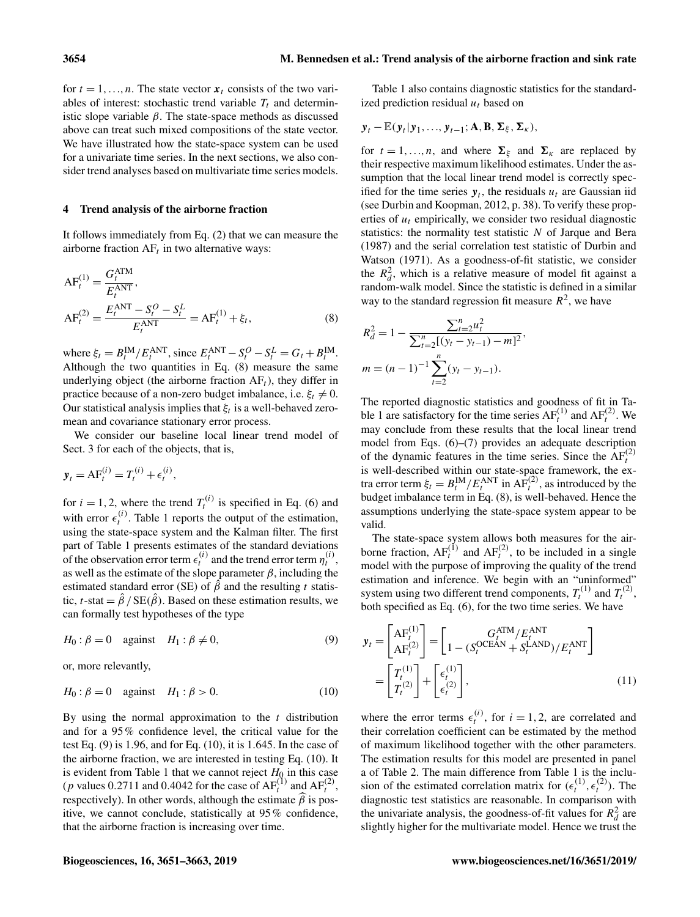for  $t = 1, \ldots, n$ . The state vector  $x_t$  consists of the two variables of interest: stochastic trend variable  $T_t$  and deterministic slope variable  $\beta$ . The state-space methods as discussed above can treat such mixed compositions of the state vector. We have illustrated how the state-space system can be used for a univariate time series. In the next sections, we also consider trend analyses based on multivariate time series models.

# <span id="page-3-0"></span>4 Trend analysis of the airborne fraction

It follows immediately from Eq. [\(2\)](#page-1-2) that we can measure the airborne fraction  $AF<sub>t</sub>$  in two alternative ways:

$$
AF_t^{(1)} = \frac{G_t^{ATM}}{E_t^{ANT}},
$$
  
\n
$$
AF_t^{(2)} = \frac{E_t^{ANT} - S_t^O - S_t^L}{E_t^{ANT}} = AF_t^{(1)} + \xi_t,
$$
\n(8)

where  $\xi_t = B_t^{\text{IM}}/E_t^{\text{ANT}}$ , since  $E_t^{\text{ANT}} - S_t^O - S_t^L = G_t + B_t^{\text{IM}}$ . Although the two quantities in Eq. [\(8\)](#page-3-1) measure the same underlying object (the airborne fraction  $AF<sub>t</sub>$ ), they differ in practice because of a non-zero budget imbalance, i.e.  $\xi_t \neq 0$ . Our statistical analysis implies that  $\xi_t$  is a well-behaved zeromean and covariance stationary error process.

We consider our baseline local linear trend model of Sect. [3](#page-2-0) for each of the objects, that is,

$$
\mathbf{y}_t = \mathbf{A}\mathbf{F}_t^{(i)} = T_t^{(i)} + \epsilon_t^{(i)},
$$

for  $i = 1, 2$ , where the trend  $T_t^{(i)}$  is specified in Eq. [\(6\)](#page-2-1) and with error  $\epsilon_t^{(i)}$ . Table [1](#page-4-1) reports the output of the estimation, using the state-space system and the Kalman filter. The first part of Table [1](#page-4-1) presents estimates of the standard deviations of the observation error term  $\epsilon_t^{(i)}$  and the trend error term  $\eta_t^{(i)}$ , as well as the estimate of the slope parameter  $\beta$ , including the estimated standard error (SE) of  $\hat{\beta}$  and the resulting t statistic, t-stat =  $\hat{\beta}$  / SE( $\hat{\beta}$ ). Based on these estimation results, we can formally test hypotheses of the type

$$
H_0: \beta = 0 \quad \text{against} \quad H_1: \beta \neq 0,
$$
\n<sup>(9)</sup>

or, more relevantly,

$$
H_0: \beta = 0 \quad \text{against} \quad H_1: \beta > 0. \tag{10}
$$

By using the normal approximation to the  $t$  distribution and for a 95% confidence level, the critical value for the test Eq.  $(9)$  is 1.96, and for Eq.  $(10)$ , it is 1.645. In the case of the airborne fraction, we are interested in testing Eq. [\(10\)](#page-3-3). It is evident from Table [1](#page-4-1) that we cannot reject  $H_0$  in this case (*p* values 0.2711 and 0.4042 for the case of  $AF_t^{(1)}$  and  $AF_t^{(2)}$ , respectively). In other words, although the estimate  $\beta$  is positive, we cannot conclude, statistically at 95% confidence, that the airborne fraction is increasing over time.

Table [1](#page-4-1) also contains diagnostic statistics for the standardized prediction residual  $u_t$  based on

$$
\mathbf{y}_t - \mathbb{E}(\mathbf{y}_t | \mathbf{y}_1, \ldots, \mathbf{y}_{t-1}; \mathbf{A}, \mathbf{B}, \mathbf{\Sigma}_{\xi}, \mathbf{\Sigma}_{\kappa}),
$$

for  $t = 1, ..., n$ , and where  $\Sigma_{\xi}$  and  $\Sigma_{\kappa}$  are replaced by their respective maximum likelihood estimates. Under the assumption that the local linear trend model is correctly specified for the time series  $y_t$ , the residuals  $u_t$  are Gaussian iid (see [Durbin and Koopman,](#page-11-7) [2012,](#page-11-7) p. 38). To verify these properties of  $u_t$  empirically, we consider two residual diagnostic statistics: the normality test statistic  $N$  of [Jarque and Bera](#page-11-8) [\(1987\)](#page-11-8) and the serial correlation test statistic of [Durbin and](#page-11-9) [Watson](#page-11-9) [\(1971\)](#page-11-9). As a goodness-of-fit statistic, we consider the  $R_d^2$ , which is a relative measure of model fit against a random-walk model. Since the statistic is defined in a similar way to the standard regression fit measure  $R^2$ , we have

<span id="page-3-1"></span>
$$
R_d^2 = 1 - \frac{\sum_{t=2}^n u_t^2}{\sum_{t=2}^n [(y_t - y_{t-1}) - m]^2},
$$
  

$$
m = (n-1)^{-1} \sum_{t=2}^n (y_t - y_{t-1}).
$$

The reported diagnostic statistics and goodness of fit in Ta-ble [1](#page-4-1) are satisfactory for the time series  $AF_t^{(1)}$  and  $AF_t^{(2)}$ . We may conclude from these results that the local linear trend model from Eqs. [\(6\)](#page-2-1)–[\(7\)](#page-2-3) provides an adequate description of the dynamic features in the time series. Since the  $AF<sub>t</sub><sup>(2)</sup>$ is well-described within our state-space framework, the extra error term  $\xi_t = B_t^{\text{IM}}/E_t^{\text{ANT}}$  in  $\overline{AF}_t^{(2)}$ , as introduced by the budget imbalance term in Eq. [\(8\)](#page-3-1), is well-behaved. Hence the assumptions underlying the state-space system appear to be valid.

The state-space system allows both measures for the airborne fraction,  $AF_t^{(1)}$  and  $AF_t^{(2)}$ , to be included in a single model with the purpose of improving the quality of the trend estimation and inference. We begin with an "uninformed" system using two different trend components,  $T_t^{(1)}$  and  $T_t^{(2)}$ , both specified as Eq. [\(6\)](#page-2-1), for the two time series. We have

<span id="page-3-4"></span><span id="page-3-2"></span>
$$
\mathbf{y}_{t} = \begin{bmatrix} A F_{t}^{(1)} \\ A F_{t}^{(2)} \end{bmatrix} = \begin{bmatrix} G_{t}^{ATM} / E_{t}^{ANT} \\ 1 - (S_{t}^{OCEAN} + S_{t}^{LAND}) / E_{t}^{ANT} \end{bmatrix}
$$

$$
= \begin{bmatrix} T_{t}^{(1)} \\ T_{t}^{(2)} \end{bmatrix} + \begin{bmatrix} \epsilon_{t}^{(1)} \\ \epsilon_{t}^{(2)} \end{bmatrix},
$$
(11)

<span id="page-3-3"></span>where the error terms  $\epsilon_t^{(i)}$ , for  $i = 1, 2$ , are correlated and their correlation coefficient can be estimated by the method of maximum likelihood together with the other parameters. The estimation results for this model are presented in panel a of Table [2.](#page-5-0) The main difference from Table [1](#page-4-1) is the inclusion of the estimated correlation matrix for  $(\epsilon_t^{(1)}, \epsilon_t^{(2)})$ . The diagnostic test statistics are reasonable. In comparison with the univariate analysis, the goodness-of-fit values for  $R_d^2$  are slightly higher for the multivariate model. Hence we trust the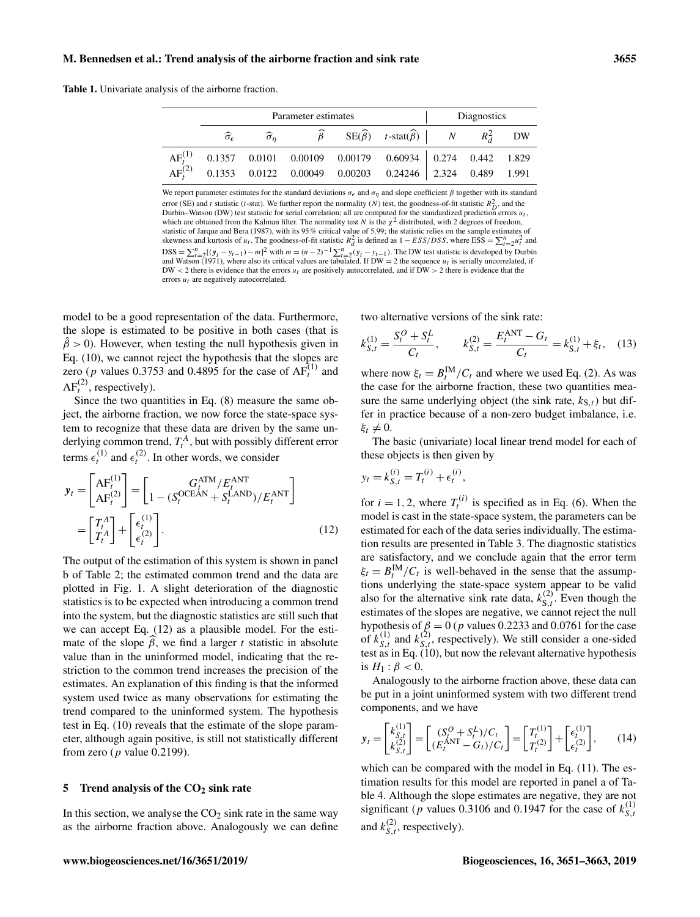<span id="page-4-1"></span>Table 1. Univariate analysis of the airborne fraction.

|  | Parameter estimates | Diagnostics |                                                                                                                                                        |  |  |  |
|--|---------------------|-------------|--------------------------------------------------------------------------------------------------------------------------------------------------------|--|--|--|
|  |                     |             | $\widehat{\sigma}_{\epsilon}$ $\widehat{\sigma}_{\eta}$ $\widehat{\beta}$ $SE(\widehat{\beta})$ $t$ -stat $(\widehat{\beta})$ $N$ $R_{\lambda}^{2}$ DW |  |  |  |
|  |                     |             | $AFt(1)$ 0.1357 0.0101 0.00109 0.00179 0.60934 0.274 0.442 1.829                                                                                       |  |  |  |
|  |                     |             | $AF_r^{(2)}$ 0.1353 0.0122 0.00049 0.00203 0.24246 2.324 0.489 1.991                                                                                   |  |  |  |

We report parameter estimates for the standard deviations  $\sigma_{\epsilon}$  and  $\sigma_{\eta}$  and slope coefficient  $\beta$  together with its standard error (SE) and t statistic (t-stat). We further report the normality (N) test, the goodness-of-fit statistic  $R_D^2$ , and the Durbin–Watson (DW) test statistic for serial correlation; all are computed for the standardized prediction errors  $u_t$ , which are obtained from the Kalman filter. The normality test N is the  $\chi^2$  distributed, with 2 degrees of freedom, statistic of [Jarque and Bera](#page-11-8) [\(1987\)](#page-11-8), with its 95% critical value of 5.99; the statistic relies on the sample estimates of skewness and kurtosis of  $u_t$ . The goodness-of-fit statistic  $R_d^2$  is defined as  $1 - ESS/DSS$ , where  $ESS = \sum_{t=2}^{n} u_t^2$  and  $\text{DSS} = \sum_{t=2}^{n} [(y_t - y_{t-1}) - m]^2$  with  $m = (n-2)^{-1} \sum_{t=2}^{n} (y_t - y_{t-1})$ . The DW test statistic is developed by [Durbin](#page-11-9) [and Watson](#page-11-9) [\(1971\)](#page-11-9), where also its critical values are tabulated. If DW = 2 the sequence  $u_t$  is serially uncorrelated, if DW < 2 there is evidence that the errors  $u_t$  are positively autocorrelated, and if DW > 2 there is evidence that the errors  $u_t$  are negatively autocorrelated.

model to be a good representation of the data. Furthermore, the slope is estimated to be positive in both cases (that is  $\hat{\beta} > 0$ ). However, when testing the null hypothesis given in Eq. [\(10\)](#page-3-3), we cannot reject the hypothesis that the slopes are zero (*p* values 0.3753 and 0.4895 for the case of  $AF<sup>(1)</sup><sub>t</sub>$  and  $AF<sub>t</sub><sup>(2)</sup>$ , respectively).

Since the two quantities in Eq. [\(8\)](#page-3-1) measure the same object, the airborne fraction, we now force the state-space system to recognize that these data are driven by the same underlying common trend,  $T_t^A$ , but with possibly different error terms  $\epsilon_t^{(1)}$  and  $\epsilon_t^{(2)}$ . In other words, we consider

$$
\mathbf{y}_{t} = \begin{bmatrix} AF_{t}^{(1)} \\ AF_{t}^{(2)} \end{bmatrix} = \begin{bmatrix} G_{t}^{ATM} / E_{t}^{ANT} \\ 1 - (S_{t}^{OCEAN} + S_{t}^{LAND}) / E_{t}^{ANT} \end{bmatrix}
$$

$$
= \begin{bmatrix} T_{t}^{A} \\ T_{t}^{A} \end{bmatrix} + \begin{bmatrix} \epsilon_{t}^{(1)} \\ \epsilon_{t}^{(2)} \end{bmatrix}.
$$
(12)

The output of the estimation of this system is shown in panel b of Table [2;](#page-5-0) the estimated common trend and the data are plotted in Fig. [1.](#page-5-1) A slight deterioration of the diagnostic statistics is to be expected when introducing a common trend into the system, but the diagnostic statistics are still such that we can accept Eq. [\(12\)](#page-4-2) as a plausible model. For the estimate of the slope  $\beta$ , we find a larger t statistic in absolute value than in the uninformed model, indicating that the restriction to the common trend increases the precision of the estimates. An explanation of this finding is that the informed system used twice as many observations for estimating the trend compared to the uninformed system. The hypothesis test in Eq. [\(10\)](#page-3-3) reveals that the estimate of the slope parameter, although again positive, is still not statistically different from zero ( $p$  value 0.2199).

### <span id="page-4-0"></span>5 Trend analysis of the  $CO<sub>2</sub>$  sink rate

In this section, we analyse the  $CO<sub>2</sub>$  sink rate in the same way as the airborne fraction above. Analogously we can define two alternative versions of the sink rate:

$$
k_{S,t}^{(1)} = \frac{S_t^O + S_t^L}{C_t}, \qquad k_{S,t}^{(2)} = \frac{E_t^{\text{ANT}} - G_t}{C_t} = k_{S,t}^{(1)} + \xi_t, \quad (13)
$$

where now  $\xi_t = B_t^{\text{IM}}/C_t$  and where we used Eq. [\(2\)](#page-1-2). As was the case for the airborne fraction, these two quantities measure the same underlying object (the sink rate,  $k_{S,t}$ ) but differ in practice because of a non-zero budget imbalance, i.e.  $\xi_t \neq 0$ .

The basic (univariate) local linear trend model for each of these objects is then given by

$$
y_t = k_{S,t}^{(i)} = T_t^{(i)} + \epsilon_t^{(i)},
$$

<span id="page-4-2"></span>for  $i = 1, 2$ , where  $T_t^{(i)}$  is specified as in Eq. [\(6\)](#page-2-1). When the model is cast in the state-space system, the parameters can be estimated for each of the data series individually. The estimation results are presented in Table [3.](#page-6-1) The diagnostic statistics are satisfactory, and we conclude again that the error term  $\xi_t = B_t^{\text{IM}}/C_t$  is well-behaved in the sense that the assumptions underlying the state-space system appear to be valid also for the alternative sink rate data,  $k_{S,t}^{(2)}$ . Even though the estimates of the slopes are negative, we cannot reject the null hypothesis of  $\beta = 0$  (p values 0.2233 and 0.0761 for the case of  $k_{S,t}^{(1)}$  and  $k_{S,t}^{(2)}$ , respectively). We still consider a one-sided test as in Eq. [\(10\)](#page-3-3), but now the relevant alternative hypothesis is  $H_1$  :  $\beta$  < 0.

Analogously to the airborne fraction above, these data can be put in a joint uninformed system with two different trend components, and we have

<span id="page-4-3"></span>
$$
\mathbf{y}_t = \begin{bmatrix} k_{S,t}^{(1)} \\ k_{S,t}^{(2)} \end{bmatrix} = \begin{bmatrix} (S_t^O + S_t^L)/C_t \\ (E_t^{\text{ANT}} - G_t)/C_t \end{bmatrix} = \begin{bmatrix} T_t^{(1)} \\ T_t^{(2)} \end{bmatrix} + \begin{bmatrix} \epsilon_t^{(1)} \\ \epsilon_t^{(2)} \end{bmatrix},\tag{14}
$$

which can be compared with the model in Eq.  $(11)$ . The estimation results for this model are reported in panel a of Table [4.](#page-6-2) Although the slope estimates are negative, they are not significant (p values 0.3106 and 0.1947 for the case of  $k_S^{(1)}$  $S, t$ and  $k_{S,t}^{(2)}$ , respectively).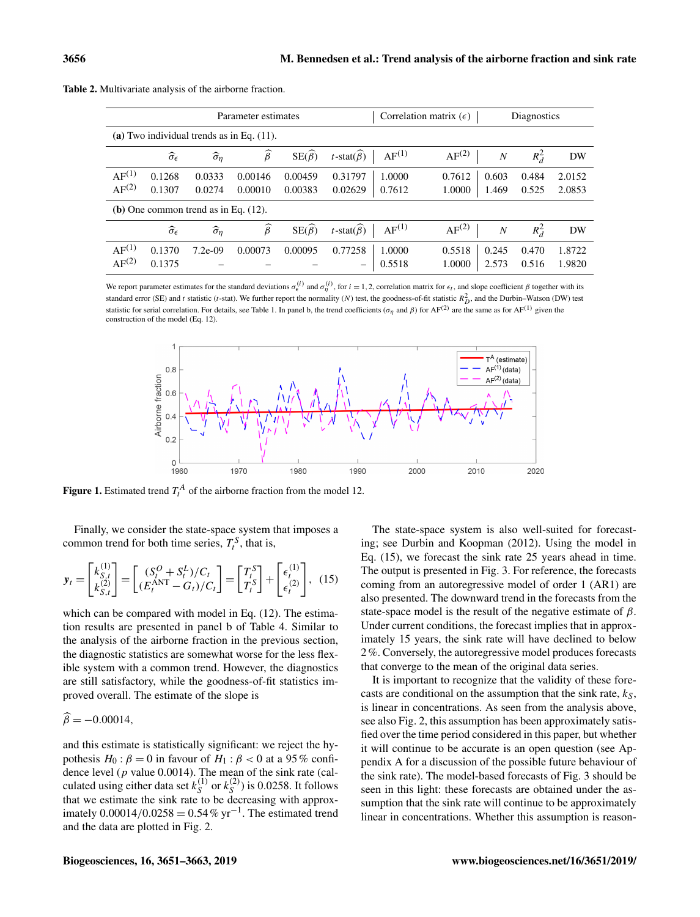|                                              |                               |                           | Parameter estimates |                       |                                             | Correlation matrix $(\epsilon)$<br>Diagnostics |                |                  |  |  |
|----------------------------------------------|-------------------------------|---------------------------|---------------------|-----------------------|---------------------------------------------|------------------------------------------------|----------------|------------------|--|--|
| (a) Two individual trends as in Eq. $(11)$ . |                               |                           |                     |                       |                                             |                                                |                |                  |  |  |
|                                              | $\widehat{\sigma}_{\epsilon}$ | $\widehat{\sigma}_{\eta}$ | $\widehat{\beta}$   | $SE(\widehat{\beta})$ | $AF^{(1)}$<br>$t$ -stat $(\widehat{\beta})$ | AF <sup>(2)</sup><br>$\overline{N}$            | $R_d^2$        | DW               |  |  |
| $AF^{(1)}$<br>AF <sup>(2)</sup>              | 0.1268<br>0.1307              | 0.0333<br>0.0274          | 0.00146<br>0.00010  | 0.00459<br>0.00383    | 0.31797<br>1.0000<br>0.02629<br>0.7612      | 0.7612<br>0.603<br>1.0000<br>1.469             | 0.484<br>0.525 | 2.0152<br>2.0853 |  |  |
| (b) One common trend as in Eq. $(12)$ .      |                               |                           |                     |                       |                                             |                                                |                |                  |  |  |
|                                              | $\widehat{\sigma}_{\epsilon}$ | $\widehat{\sigma}_{\eta}$ | $\widehat{\beta}$   | $SE(\widehat{\beta})$ | $AF^{(1)}$<br>$t$ -stat $(\widehat{\beta})$ | AF <sup>(2)</sup><br>$\boldsymbol{N}$          | $R_d^2$        | DW               |  |  |
| $AF^{(1)}$<br>$AF^{(2)}$                     | 0.1370<br>0.1375              | $7.2e-09$                 | 0.00073             | 0.00095               | 0.77258<br>1.0000<br>0.5518<br>-            | 0.5518<br>0.245<br>1.0000<br>2.573             | 0.470<br>0.516 | 1.8722<br>1.9820 |  |  |

<span id="page-5-0"></span>Table 2. Multivariate analysis of the airborne fraction.

<span id="page-5-1"></span>We report parameter estimates for the standard deviations  $\sigma_{\epsilon}^{(i)}$  and  $\sigma_{\eta}^{(i)}$ , for  $i = 1, 2$ , correlation matrix for  $\epsilon_t$ , and slope coefficient  $\beta$  together with its standard error (SE) and t statistic (t-stat). We further report the normality (N) test, the goodness-of-fit statistic  $R_D^2$ , and the Durbin–Watson (DW) test statistic for serial correlation. For details, see Table [1.](#page-4-1) In panel b, the trend coefficients ( $\sigma_{\eta}$  and  $\beta$ ) for AF<sup>(2)</sup> are the same as for AF<sup>(1)</sup> given the construction of the model (Eq. [12\)](#page-4-2).



**Figure 1.** Estimated trend  $T_t^A$  of the airborne fraction from the model [12.](#page-4-2)

Finally, we consider the state-space system that imposes a common trend for both time series,  $T_t^S$ , that is,

$$
\mathbf{y}_t = \begin{bmatrix} k_{S,t}^{(1)} \\ k_{S,t}^{(2)} \end{bmatrix} = \begin{bmatrix} (S_t^O + S_t^L)/C_t \\ (E_t^{\text{ANT}} - G_t)/C_t \end{bmatrix} = \begin{bmatrix} T_t^S \\ T_t^S \end{bmatrix} + \begin{bmatrix} \epsilon_t^{(1)} \\ \epsilon_t^{(2)} \end{bmatrix}, \tag{15}
$$

which can be compared with model in Eq.  $(12)$ . The estimation results are presented in panel b of Table [4.](#page-6-2) Similar to the analysis of the airborne fraction in the previous section, the diagnostic statistics are somewhat worse for the less flexible system with a common trend. However, the diagnostics are still satisfactory, while the goodness-of-fit statistics improved overall. The estimate of the slope is

$$
\widehat{\beta} = -0.00014,
$$

and this estimate is statistically significant: we reject the hypothesis  $H_0$ :  $\beta = 0$  in favour of  $H_1$ :  $\beta < 0$  at a 95% confidence level ( $p$  value 0.0014). The mean of the sink rate (calculated using either data set  $k_S^{(1)}$  $s^{(1)}$  or  $k_S^{(2)}$  $\binom{1}{s}$  is 0.0258. It follows that we estimate the sink rate to be decreasing with approximately  $0.00014/0.0258 = 0.54\% \text{ yr}^{-1}$ . The estimated trend and the data are plotted in Fig. [2.](#page-7-1)

<span id="page-5-2"></span>The state-space system is also well-suited for forecasting; see [Durbin and Koopman](#page-11-7) [\(2012\)](#page-11-7). Using the model in Eq. [\(15\)](#page-5-2), we forecast the sink rate 25 years ahead in time. The output is presented in Fig. [3.](#page-7-2) For reference, the forecasts coming from an autoregressive model of order 1 (AR1) are also presented. The downward trend in the forecasts from the state-space model is the result of the negative estimate of  $\beta$ . Under current conditions, the forecast implies that in approximately 15 years, the sink rate will have declined to below 2%. Conversely, the autoregressive model produces forecasts that converge to the mean of the original data series.

It is important to recognize that the validity of these forecasts are conditional on the assumption that the sink rate,  $k<sub>S</sub>$ , is linear in concentrations. As seen from the analysis above, see also Fig. [2,](#page-7-1) this assumption has been approximately satisfied over the time period considered in this paper, but whether it will continue to be accurate is an open question (see Appendix [A](#page-10-0) for a discussion of the possible future behaviour of the sink rate). The model-based forecasts of Fig. [3](#page-7-2) should be seen in this light: these forecasts are obtained under the assumption that the sink rate will continue to be approximately linear in concentrations. Whether this assumption is reason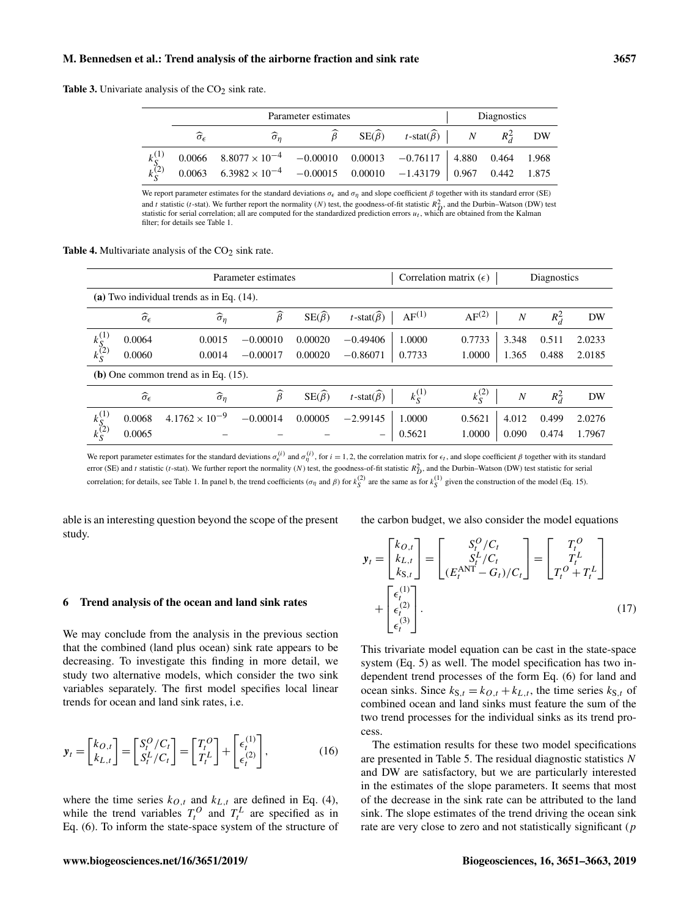<span id="page-6-1"></span>**Table 3.** Univariate analysis of the  $CO<sub>2</sub>$  sink rate.

|                                   |                               | Parameter estimates                                                                | Diagnostics |                                                                                    |  |  |  |
|-----------------------------------|-------------------------------|------------------------------------------------------------------------------------|-------------|------------------------------------------------------------------------------------|--|--|--|
|                                   | $\widehat{\sigma}_{\epsilon}$ |                                                                                    |             | $\widehat{\beta}$ SE( $\widehat{\beta}$ ) t-stat( $\widehat{\beta}$ ) N $R_d^2$ DW |  |  |  |
| $\frac{k_{S}^{(1)}}{k_{S}^{(2)}}$ |                               | $0.0066$ $8.8077 \times 10^{-4}$ $-0.00010$ $0.00013$ $-0.76117$ 4.880 0.464 1.968 |             |                                                                                    |  |  |  |
|                                   |                               | $0.0063$ $6.3982 \times 10^{-4}$ $-0.00015$ $0.00010$ $-1.43179$ 0.967 0.442 1.875 |             |                                                                                    |  |  |  |

We report parameter estimates for the standard deviations  $\sigma_{\epsilon}$  and  $\sigma_{\eta}$  and slope coefficient  $\beta$  together with its standard error (SE) and t statistic (t-stat). We further report the normality (N) test, the goodness-of-fit statistic  $R_D^2$ , and the Durbin–Watson (DW) test statistic for serial correlation; all are computed for the standardized prediction errors  $u_t$ , which are obtained from the Kalman statistic for serial correlation; all are computed for the standardized prediction errors filter; for details see Table [1.](#page-4-1)

<span id="page-6-2"></span>**Table 4.** Multivariate analysis of the  $CO<sub>2</sub>$  sink rate.

|                                              |                                         |                           | Parameter estimates | Correlation matrix $(\epsilon)$<br>Diagnostics |                                |                         |               |                  |         |        |
|----------------------------------------------|-----------------------------------------|---------------------------|---------------------|------------------------------------------------|--------------------------------|-------------------------|---------------|------------------|---------|--------|
| (a) Two individual trends as in Eq. $(14)$ . |                                         |                           |                     |                                                |                                |                         |               |                  |         |        |
|                                              | $\widehat{\sigma}_{\epsilon}$           | $\widehat{\sigma}_{\eta}$ | $\widehat{\beta}$   | $SE(\hat{\beta})$                              | $t$ -stat $(\widehat{\beta})$  | $AF^{(1)}$              | $AF^{(2)}$    | $\boldsymbol{N}$ | $R_d^2$ | DW     |
| $k_{S}^{(1)}$<br>$k_{S}^{(2)}$               | 0.0064                                  | 0.0015                    | $-0.00010$          | 0.00020                                        | $-0.49406$                     | 1.0000                  | 0.7733        | 3.348            | 0.511   | 2.0233 |
|                                              | 0.0060                                  | 0.0014                    | $-0.00017$          | 0.00020                                        | $-0.86071$                     | 0.7733                  | 1.0000        | 1.365            | 0.488   | 2.0185 |
|                                              | (b) One common trend as in Eq. $(15)$ . |                           |                     |                                                |                                |                         |               |                  |         |        |
|                                              | $\widehat{\sigma}_{\epsilon}$           | $\widehat{\sigma}_{\eta}$ | $\widehat{\beta}$   | $SE(\widehat{\beta})$                          | t-stat $(\widehat{\beta})$     | $k_{\mathcal{S}}^{(1)}$ | $k_{S}^{(2)}$ | $\boldsymbol{N}$ | $R_d^2$ | DW     |
| $k_{S}^{(1)}$<br>$k_{S}^{(2)}$               | 0.0068                                  | $4.1762 \times 10^{-9}$   | $-0.00014$          | 0.00005                                        | $-2.99145$                     | 1.0000                  | 0.5621        | 4.012            | 0.499   | 2.0276 |
|                                              | 0.0065                                  |                           |                     |                                                | $\qquad \qquad \longleftarrow$ | 0.5621                  | 1.0000        | 0.090            | 0.474   | 1.7967 |

We report parameter estimates for the standard deviations  $\sigma_{\epsilon}^{(i)}$  and  $\sigma_{\eta}^{(i)}$ , for  $i = 1, 2$ , the correlation matrix for  $\epsilon_t$ , and slope coefficient  $\beta$  together with its standard error (SE) and t statistic (t-stat). We further report the normality (N) test, the goodness-of-fit statistic  $R_D^2$ , and the Durbin–Watson (DW) test statistic for serial correlation; for details, see Table [1.](#page-4-1) In panel b, the trend coefficients ( $\sigma_{\eta}$  and  $\beta$ ) for  $k_S^{(2)}$  are the same as for  $k_S^{(1)}$  given the construction of the model (Eq. [15\)](#page-5-2).

able is an interesting question beyond the scope of the present study.

the carbon budget, we also consider the model equations

# <span id="page-6-0"></span>6 Trend analysis of the ocean and land sink rates

We may conclude from the analysis in the previous section that the combined (land plus ocean) sink rate appears to be decreasing. To investigate this finding in more detail, we study two alternative models, which consider the two sink variables separately. The first model specifies local linear trends for ocean and land sink rates, i.e.

$$
\mathbf{y}_t = \begin{bmatrix} k_{O,t} \\ k_{L,t} \end{bmatrix} = \begin{bmatrix} S_t^O / C_t \\ S_t^L / C_t \end{bmatrix} = \begin{bmatrix} T_t^O \\ T_t^L \end{bmatrix} + \begin{bmatrix} \epsilon_t^{(1)} \\ \epsilon_t^{(2)} \end{bmatrix},\tag{16}
$$

where the time series  $k_{O,t}$  and  $k_{L,t}$  are defined in Eq. [\(4\)](#page-2-4), while the trend variables  $T_t^O$  and  $T_t^L$  are specified as in Eq. [\(6\)](#page-2-1). To inform the state-space system of the structure of

$$
\mathbf{y}_{t} = \begin{bmatrix} k_{O,t} \\ k_{L,t} \\ k_{S,t} \end{bmatrix} = \begin{bmatrix} S_{t}^{O}/C_{t} \\ S_{t}^{L}/C_{t} \\ (E_{t}^{\text{ANT}} - G_{t})/C_{t} \end{bmatrix} = \begin{bmatrix} T_{t}^{O} \\ T_{t}^{L} \\ T_{t}^{O} + T_{t}^{L} \end{bmatrix}
$$

$$
+ \begin{bmatrix} \epsilon_{t}^{(1)} \\ \epsilon_{t}^{(2)} \\ \epsilon_{t}^{(3)} \end{bmatrix}.
$$
(17)

<span id="page-6-4"></span>This trivariate model equation can be cast in the state-space system (Eq. [5\)](#page-2-2) as well. The model specification has two independent trend processes of the form Eq. [\(6\)](#page-2-1) for land and ocean sinks. Since  $k_{S,t} = k_{O,t} + k_{L,t}$ , the time series  $k_{S,t}$  of combined ocean and land sinks must feature the sum of the two trend processes for the individual sinks as its trend process.

<span id="page-6-3"></span>The estimation results for these two model specifications are presented in Table [5.](#page-8-0) The residual diagnostic statistics N and DW are satisfactory, but we are particularly interested in the estimates of the slope parameters. It seems that most of the decrease in the sink rate can be attributed to the land sink. The slope estimates of the trend driving the ocean sink rate are very close to zero and not statistically significant  $(p)$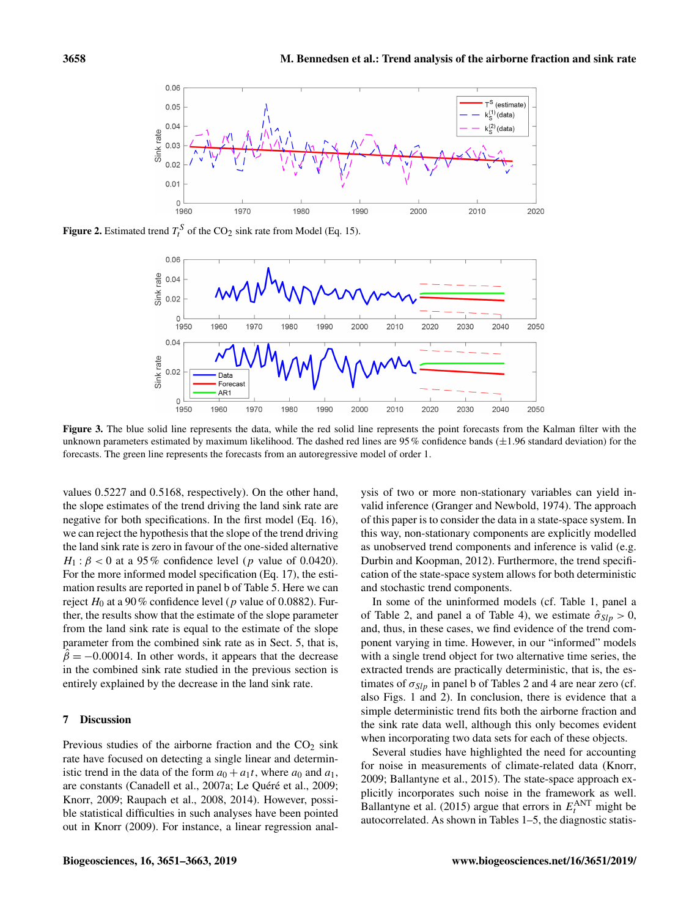<span id="page-7-1"></span>

<span id="page-7-2"></span>**Figure 2.** Estimated trend  $T_t^S$  of the CO<sub>2</sub> sink rate from Model (Eq. [15\)](#page-5-2).



Figure 3. The blue solid line represents the data, while the red solid line represents the point forecasts from the Kalman filter with the unknown parameters estimated by maximum likelihood. The dashed red lines are  $95\%$  confidence bands ( $\pm 1.96$  standard deviation) for the forecasts. The green line represents the forecasts from an autoregressive model of order 1.

values 0.5227 and 0.5168, respectively). On the other hand, the slope estimates of the trend driving the land sink rate are negative for both specifications. In the first model (Eq. [16\)](#page-6-3), we can reject the hypothesis that the slope of the trend driving the land sink rate is zero in favour of the one-sided alternative  $H_1$ :  $\beta$  < 0 at a 95% confidence level (p value of 0.0420). For the more informed model specification (Eq. [17\)](#page-6-4), the estimation results are reported in panel b of Table [5.](#page-8-0) Here we can reject  $H_0$  at a 90% confidence level (p value of 0.0882). Further, the results show that the estimate of the slope parameter from the land sink rate is equal to the estimate of the slope parameter from the combined sink rate as in Sect. [5,](#page-4-0) that is,  $\hat{\beta} = -0.00014$ . In other words, it appears that the decrease in the combined sink rate studied in the previous section is entirely explained by the decrease in the land sink rate.

# <span id="page-7-0"></span>7 Discussion

Previous studies of the airborne fraction and the  $CO<sub>2</sub>$  sink rate have focused on detecting a single linear and deterministic trend in the data of the form  $a_0 + a_1t$ , where  $a_0$  and  $a_1$ , are constants [\(Canadell et al.,](#page-11-1) [2007a;](#page-11-1) [Le Quéré et al.,](#page-12-1) [2009;](#page-12-1) [Knorr,](#page-12-4) [2009;](#page-12-4) [Raupach et al.,](#page-12-2) [2008,](#page-12-2) [2014\)](#page-12-0). However, possible statistical difficulties in such analyses have been pointed out in [Knorr](#page-12-4) [\(2009\)](#page-12-4). For instance, a linear regression analysis of two or more non-stationary variables can yield invalid inference [\(Granger and Newbold,](#page-11-10) [1974\)](#page-11-10). The approach of this paper is to consider the data in a state-space system. In this way, non-stationary components are explicitly modelled as unobserved trend components and inference is valid (e.g. [Durbin and Koopman,](#page-11-7) [2012\)](#page-11-7). Furthermore, the trend specification of the state-space system allows for both deterministic and stochastic trend components.

In some of the uninformed models (cf. Table [1,](#page-4-1) panel a of Table [2,](#page-5-0) and panel a of Table [4\)](#page-6-2), we estimate  $\hat{\sigma}_{Slp} > 0$ , and, thus, in these cases, we find evidence of the trend component varying in time. However, in our "informed" models with a single trend object for two alternative time series, the extracted trends are practically deterministic, that is, the estimates of  $\sigma_{Slp}$  in panel b of Tables [2](#page-5-0) and [4](#page-6-2) are near zero (cf. also Figs. [1](#page-5-1) and [2\)](#page-7-1). In conclusion, there is evidence that a simple deterministic trend fits both the airborne fraction and the sink rate data well, although this only becomes evident when incorporating two data sets for each of these objects.

Several studies have highlighted the need for accounting for noise in measurements of climate-related data [\(Knorr,](#page-12-4) [2009;](#page-12-4) [Ballantyne et al.,](#page-11-2) [2015\)](#page-11-2). The state-space approach explicitly incorporates such noise in the framework as well. [Ballantyne et al.](#page-11-2) [\(2015\)](#page-11-2) argue that errors in  $E_t^{\text{ANT}}$  might be autocorrelated. As shown in Tables [1–](#page-4-1)[5,](#page-8-0) the diagnostic statis-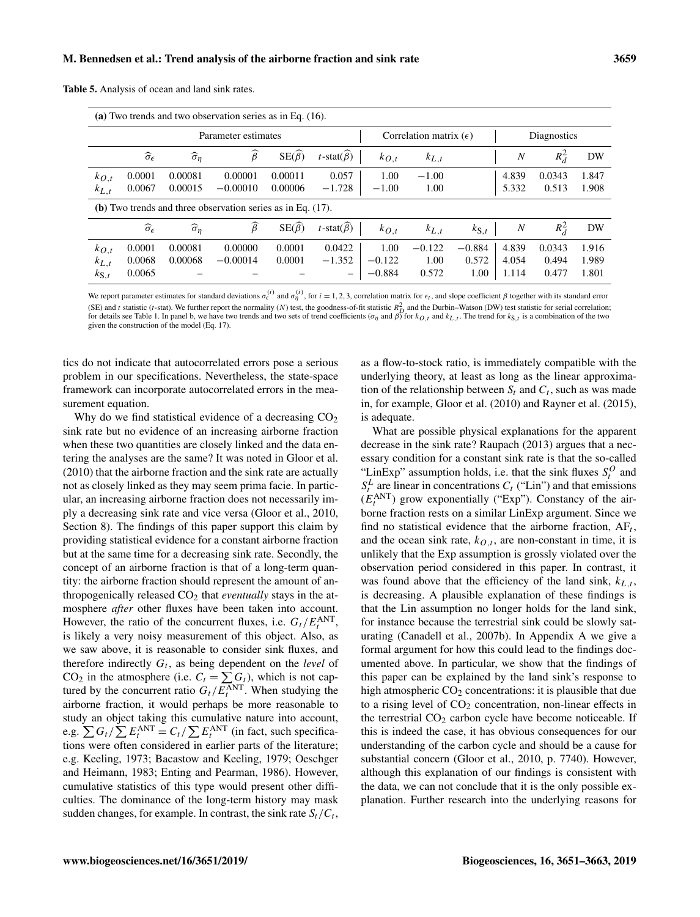| (a) Two trends and two observation series as in Eq. $(16)$ .   |                               |                           |                     |                       |                                 |           |             |                    |                  |         |       |
|----------------------------------------------------------------|-------------------------------|---------------------------|---------------------|-----------------------|---------------------------------|-----------|-------------|--------------------|------------------|---------|-------|
|                                                                |                               |                           | Parameter estimates |                       | Correlation matrix $(\epsilon)$ |           | Diagnostics |                    |                  |         |       |
|                                                                | $\widehat{\sigma}_{\epsilon}$ | $\widehat{\sigma}_{\eta}$ | $\widehat{\beta}$   | $SE(\hat{\beta})$     | $t$ -stat $(\beta)$             | $k_{O,t}$ | $k_{L,t}$   |                    | $\boldsymbol{N}$ | $R_d^2$ | DW    |
| $k_{O,t}$                                                      | 0.0001                        | 0.00081                   | 0.00001             | 0.00011               | 0.057                           | 1.00      | $-1.00$     |                    | 4.839            | 0.0343  | 1.847 |
| $k_{L,t}$                                                      | 0.0067                        | 0.00015                   | $-0.00010$          | 0.00006               | $-1.728$                        | $-1.00$   | 1.00        |                    | 5.332            | 0.513   | 1.908 |
| (b) Two trends and three observation series as in Eq. $(17)$ . |                               |                           |                     |                       |                                 |           |             |                    |                  |         |       |
|                                                                | $\widehat{\sigma}_{\epsilon}$ | $\widehat{\sigma}_{\eta}$ | $\widehat{\beta}$   | $SE(\widehat{\beta})$ | $t$ -stat $(\beta)$             | $k_{O,t}$ | $k_{L,t}$   | $k_{\mathbf{S},t}$ | $\boldsymbol{N}$ | $R_d^2$ | DW    |
| $k_{O,t}$                                                      | 0.0001                        | 0.00081                   | 0.00000             | 0.0001                | 0.0422                          | 1.00      | $-0.122$    | $-0.884$           | 4.839            | 0.0343  | 1.916 |
| $k_{L,t}$                                                      | 0.0068                        | 0.00068                   | $-0.00014$          | 0.0001                | $-1.352$                        | $-0.122$  | 1.00        | 0.572              | 4.054            | 0.494   | 1.989 |
| $k_{\mathbf{S},t}$                                             | 0.0065                        |                           |                     |                       | $\overline{\phantom{m}}$        | $-0.884$  | 0.572       | 1.00               | 1.114            | 0.477   | 1.801 |

<span id="page-8-0"></span>Table 5. Analysis of ocean and land sink rates.

We report parameter estimates for standard deviations  $\sigma_{\epsilon}^{(i)}$  and  $\sigma_{\eta}^{(i)}$ , for  $i = 1, 2, 3$ , correlation matrix for  $\epsilon_t$ , and slope coefficient  $\beta$  together with its standard error (SE) and t statistic (t-stat). We further report the normality (N) test, the goodness-of-fit statistic  $R_D^2$  and the Durbin–Watson (DW) test statistic for serial correlation; for details see Table [1.](#page-4-1) In panel b, we have two trends and two sets of trend coefficients ( $\sigma_{\eta}$  and  $\beta$ ) for  $k_{Q,t}$  and  $k_{L,t}$ . The trend for  $k_{S,t}$  is a combination of the two given the construction of the model (Eq. [17\)](#page-6-4).

tics do not indicate that autocorrelated errors pose a serious problem in our specifications. Nevertheless, the state-space framework can incorporate autocorrelated errors in the measurement equation.

Why do we find statistical evidence of a decreasing  $CO<sub>2</sub>$ sink rate but no evidence of an increasing airborne fraction when these two quantities are closely linked and the data entering the analyses are the same? It was noted in [Gloor et al.](#page-11-0) [\(2010\)](#page-11-0) that the airborne fraction and the sink rate are actually not as closely linked as they may seem prima facie. In particular, an increasing airborne fraction does not necessarily imply a decreasing sink rate and vice versa [\(Gloor et al.,](#page-11-0) [2010,](#page-11-0) Section 8). The findings of this paper support this claim by providing statistical evidence for a constant airborne fraction but at the same time for a decreasing sink rate. Secondly, the concept of an airborne fraction is that of a long-term quantity: the airborne fraction should represent the amount of anthropogenically released CO<sub>2</sub> that *eventually* stays in the atmosphere *after* other fluxes have been taken into account. However, the ratio of the concurrent fluxes, i.e.  $G_t / E_t^{\text{ANT}}$ , is likely a very noisy measurement of this object. Also, as we saw above, it is reasonable to consider sink fluxes, and therefore indirectly  $G_t$ , as being dependent on the *level* of CO<sub>2</sub> in the atmosphere (i.e.  $C_t = \sum G_t$ ), which is not captured by the concurrent ratio  $G_t / E_t^{\text{ANT}}$ . When studying the airborne fraction, it would perhaps be more reasonable to study an object taking this cumulative nature into account, e.g.  $\sum G_t / \sum E_t^{\text{ANT}} = C_t / \sum E_t^{\text{ANT}}$  (in fact, such specifications were often considered in earlier parts of the literature; e.g. [Keeling,](#page-12-7) [1973;](#page-12-7) [Bacastow and Keeling,](#page-11-11) [1979;](#page-11-11) [Oeschger](#page-12-8) [and Heimann,](#page-12-8) [1983;](#page-12-8) [Enting and Pearman,](#page-11-12) [1986\)](#page-11-12). However, cumulative statistics of this type would present other difficulties. The dominance of the long-term history may mask sudden changes, for example. In contrast, the sink rate  $S_t / C_t$ ,

as a flow-to-stock ratio, is immediately compatible with the underlying theory, at least as long as the linear approximation of the relationship between  $S_t$  and  $C_t$ , such as was made in, for example, [Gloor et al.](#page-11-0) [\(2010\)](#page-11-0) and [Rayner et al.](#page-12-3) [\(2015\)](#page-12-3), is adequate.

What are possible physical explanations for the apparent decrease in the sink rate? [Raupach](#page-12-6) [\(2013\)](#page-12-6) argues that a necessary condition for a constant sink rate is that the so-called "LinExp" assumption holds, i.e. that the sink fluxes  $S_t^O$  and  $S_t^L$  are linear in concentrations  $C_t$  ("Lin") and that emissions  $(E_t^{\text{ANT}})$  grow exponentially ("Exp"). Constancy of the airborne fraction rests on a similar LinExp argument. Since we find no statistical evidence that the airborne fraction,  $AF_t$ , and the ocean sink rate,  $k_{O,t}$ , are non-constant in time, it is unlikely that the Exp assumption is grossly violated over the observation period considered in this paper. In contrast, it was found above that the efficiency of the land sink,  $k_{L,t}$ , is decreasing. A plausible explanation of these findings is that the Lin assumption no longer holds for the land sink, for instance because the terrestrial sink could be slowly saturating [\(Canadell et al.,](#page-11-13) [2007b\)](#page-11-13). In Appendix [A](#page-10-0) we give a formal argument for how this could lead to the findings documented above. In particular, we show that the findings of this paper can be explained by the land sink's response to high atmospheric  $CO<sub>2</sub>$  concentrations: it is plausible that due to a rising level of  $CO<sub>2</sub>$  concentration, non-linear effects in the terrestrial  $CO<sub>2</sub>$  carbon cycle have become noticeable. If this is indeed the case, it has obvious consequences for our understanding of the carbon cycle and should be a cause for substantial concern [\(Gloor et al.,](#page-11-0) [2010,](#page-11-0) p. 7740). However, although this explanation of our findings is consistent with the data, we can not conclude that it is the only possible explanation. Further research into the underlying reasons for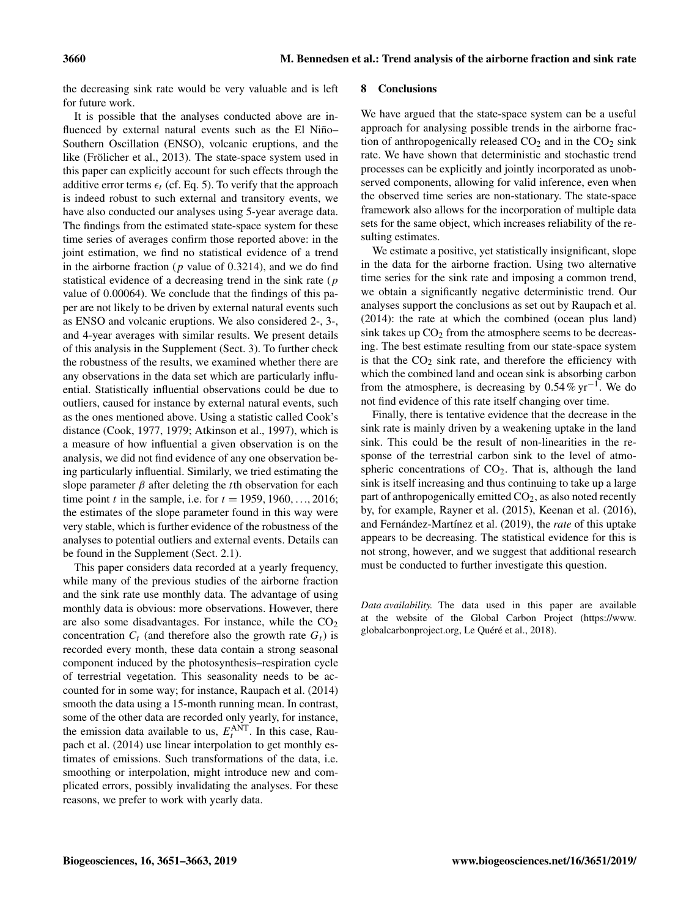the decreasing sink rate would be very valuable and is left for future work.

It is possible that the analyses conducted above are influenced by external natural events such as the El Niño– Southern Oscillation (ENSO), volcanic eruptions, and the like [\(Frölicher et al.,](#page-11-14) [2013\)](#page-11-14). The state-space system used in this paper can explicitly account for such effects through the additive error terms  $\epsilon_t$  (cf. Eq. [5\)](#page-2-2). To verify that the approach is indeed robust to such external and transitory events, we have also conducted our analyses using 5-year average data. The findings from the estimated state-space system for these time series of averages confirm those reported above: in the joint estimation, we find no statistical evidence of a trend in the airborne fraction ( $p$  value of 0.3214), and we do find statistical evidence of a decreasing trend in the sink rate (p value of 0.00064). We conclude that the findings of this paper are not likely to be driven by external natural events such as ENSO and volcanic eruptions. We also considered 2-, 3-, and 4-year averages with similar results. We present details of this analysis in the Supplement (Sect. 3). To further check the robustness of the results, we examined whether there are any observations in the data set which are particularly influential. Statistically influential observations could be due to outliers, caused for instance by external natural events, such as the ones mentioned above. Using a statistic called Cook's distance [\(Cook,](#page-11-15) [1977,](#page-11-15) [1979;](#page-11-16) [Atkinson et al.,](#page-11-17) [1997\)](#page-11-17), which is a measure of how influential a given observation is on the analysis, we did not find evidence of any one observation being particularly influential. Similarly, we tried estimating the slope parameter  $\beta$  after deleting the *t*th observation for each time point *t* in the sample, i.e. for  $t = 1959, 1960, ..., 2016$ ; the estimates of the slope parameter found in this way were very stable, which is further evidence of the robustness of the analyses to potential outliers and external events. Details can be found in the Supplement (Sect. 2.1).

This paper considers data recorded at a yearly frequency, while many of the previous studies of the airborne fraction and the sink rate use monthly data. The advantage of using monthly data is obvious: more observations. However, there are also some disadvantages. For instance, while the  $CO<sub>2</sub>$ concentration  $C_t$  (and therefore also the growth rate  $G_t$ ) is recorded every month, these data contain a strong seasonal component induced by the photosynthesis–respiration cycle of terrestrial vegetation. This seasonality needs to be accounted for in some way; for instance, [Raupach et al.](#page-12-0) [\(2014\)](#page-12-0) smooth the data using a 15-month running mean. In contrast, some of the other data are recorded only yearly, for instance, the emission data available to us,  $E_t^{\text{ANT}}$ . In this case, [Rau](#page-12-0)[pach et al.](#page-12-0) [\(2014\)](#page-12-0) use linear interpolation to get monthly estimates of emissions. Such transformations of the data, i.e. smoothing or interpolation, might introduce new and complicated errors, possibly invalidating the analyses. For these reasons, we prefer to work with yearly data.

### <span id="page-9-0"></span>8 Conclusions

We have argued that the state-space system can be a useful approach for analysing possible trends in the airborne fraction of anthropogenically released  $CO<sub>2</sub>$  and in the  $CO<sub>2</sub>$  sink rate. We have shown that deterministic and stochastic trend processes can be explicitly and jointly incorporated as unobserved components, allowing for valid inference, even when the observed time series are non-stationary. The state-space framework also allows for the incorporation of multiple data sets for the same object, which increases reliability of the resulting estimates.

We estimate a positive, yet statistically insignificant, slope in the data for the airborne fraction. Using two alternative time series for the sink rate and imposing a common trend, we obtain a significantly negative deterministic trend. Our analyses support the conclusions as set out by [Raupach et al.](#page-12-0) [\(2014\)](#page-12-0): the rate at which the combined (ocean plus land) sink takes up  $CO<sub>2</sub>$  from the atmosphere seems to be decreasing. The best estimate resulting from our state-space system is that the  $CO<sub>2</sub>$  sink rate, and therefore the efficiency with which the combined land and ocean sink is absorbing carbon from the atmosphere, is decreasing by  $0.54\%$  yr<sup>-1</sup>. We do not find evidence of this rate itself changing over time.

Finally, there is tentative evidence that the decrease in the sink rate is mainly driven by a weakening uptake in the land sink. This could be the result of non-linearities in the response of the terrestrial carbon sink to the level of atmospheric concentrations of  $CO<sub>2</sub>$ . That is, although the land sink is itself increasing and thus continuing to take up a large part of anthropogenically emitted  $CO<sub>2</sub>$ , as also noted recently by, for example, [Rayner et al.](#page-12-3) [\(2015\)](#page-12-3), [Keenan et al.](#page-12-9) [\(2016\)](#page-12-9), and [Fernández-Martínez et al.](#page-11-18) [\(2019\)](#page-11-18), the *rate* of this uptake appears to be decreasing. The statistical evidence for this is not strong, however, and we suggest that additional research must be conducted to further investigate this question.

*Data availability.* The data used in this paper are available at the website of the Global Carbon Project [\(https://www.](https://www.globalcarbonproject.org) [globalcarbonproject.org,](https://www.globalcarbonproject.org) Le Quéré et al., 2018).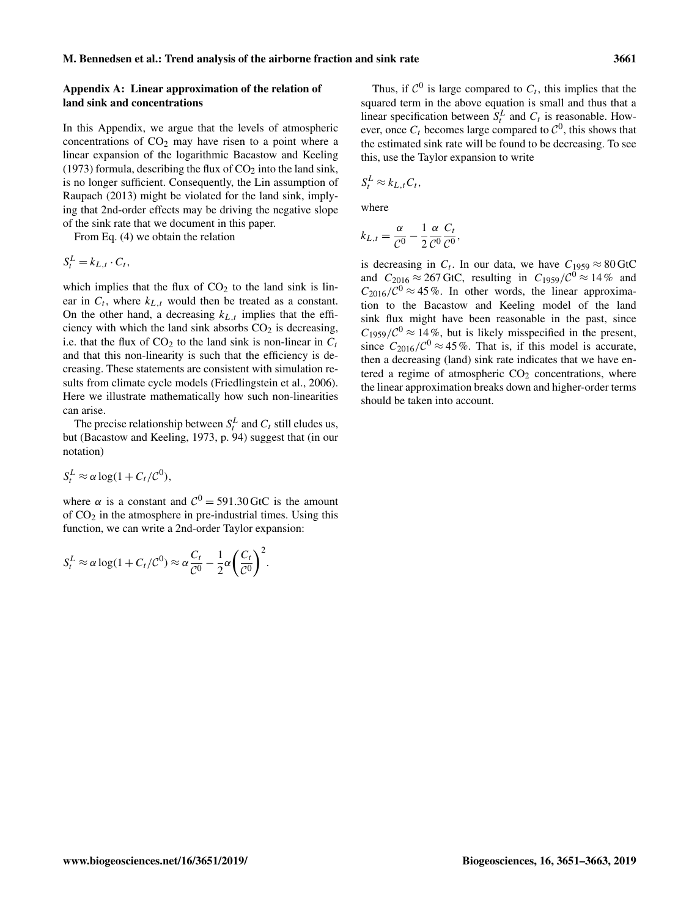# <span id="page-10-0"></span>Appendix A: Linear approximation of the relation of land sink and concentrations

In this Appendix, we argue that the levels of atmospheric concentrations of  $CO<sub>2</sub>$  may have risen to a point where a linear expansion of the logarithmic [Bacastow and Keeling](#page-11-19) [\(1973\)](#page-11-19) formula, describing the flux of  $CO<sub>2</sub>$  into the land sink, is no longer sufficient. Consequently, the Lin assumption of [Raupach](#page-12-6) [\(2013\)](#page-12-6) might be violated for the land sink, implying that 2nd-order effects may be driving the negative slope of the sink rate that we document in this paper.

From Eq. [\(4\)](#page-2-4) we obtain the relation

$$
S_t^L = k_{L,t} \cdot C_t,
$$

which implies that the flux of  $CO<sub>2</sub>$  to the land sink is linear in  $C_t$ , where  $k_{L,t}$  would then be treated as a constant. On the other hand, a decreasing  $k_{L,t}$  implies that the efficiency with which the land sink absorbs  $CO<sub>2</sub>$  is decreasing, i.e. that the flux of  $CO<sub>2</sub>$  to the land sink is non-linear in  $C<sub>t</sub>$ and that this non-linearity is such that the efficiency is decreasing. These statements are consistent with simulation results from climate cycle models [\(Friedlingstein et al.,](#page-11-20) [2006\)](#page-11-20). Here we illustrate mathematically how such non-linearities can arise.

The precise relationship between  $S_t^L$  and  $C_t$  still eludes us, but [\(Bacastow and Keeling,](#page-11-19) [1973,](#page-11-19) p. 94) suggest that (in our notation)

$$
S_t^L \approx \alpha \log(1 + C_t/\mathcal{C}^0),
$$

where  $\alpha$  is a constant and  $C^0 = 591.30 \,\text{GtC}$  is the amount of  $CO<sub>2</sub>$  in the atmosphere in pre-industrial times. Using this function, we can write a 2nd-order Taylor expansion:

$$
S_t^L \approx \alpha \log(1 + C_t/\mathcal{C}^0) \approx \alpha \frac{C_t}{\mathcal{C}^0} - \frac{1}{2} \alpha \left(\frac{C_t}{\mathcal{C}^0}\right)^2.
$$

Thus, if  $C^0$  is large compared to  $C_t$ , this implies that the squared term in the above equation is small and thus that a linear specification between  $S_t^L$  and  $C_t$  is reasonable. However, once  $C_t$  becomes large compared to  $C^0$ , this shows that the estimated sink rate will be found to be decreasing. To see this, use the Taylor expansion to write

$$
S_t^L \approx k_{L,t} C_t,
$$

where

$$
k_{L,t} = \frac{\alpha}{\mathcal{C}^0} - \frac{1}{2} \frac{\alpha}{\mathcal{C}^0} \frac{C_t}{\mathcal{C}^0},
$$

is decreasing in  $C_t$ . In our data, we have  $C_{1959} \approx 80 \text{ GtC}$ and  $C_{2016} \approx 267$  GtC, resulting in  $C_{1959}/C^0 \approx 14\%$  and  $C_{2016}/\mathcal{C}^0 \approx 45\%$ . In other words, the linear approximation to the Bacastow and Keeling model of the land sink flux might have been reasonable in the past, since  $C_{1959}/C^{0} \approx 14\%$ , but is likely misspecified in the present, since  $C_{2016}/C^0 \approx 45\%$ . That is, if this model is accurate, then a decreasing (land) sink rate indicates that we have entered a regime of atmospheric  $CO<sub>2</sub>$  concentrations, where the linear approximation breaks down and higher-order terms should be taken into account.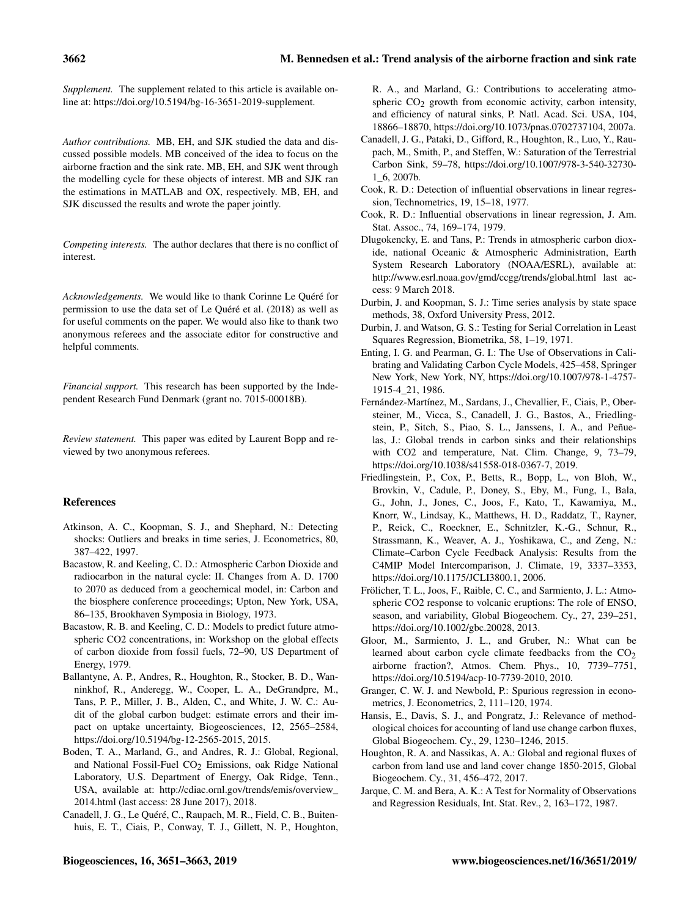*Supplement.* The supplement related to this article is available online at: [https://doi.org/10.5194/bg-16-3651-2019-supplement.](https://doi.org/10.5194/bg-16-3651-2019-supplement)

*Author contributions.* MB, EH, and SJK studied the data and discussed possible models. MB conceived of the idea to focus on the airborne fraction and the sink rate. MB, EH, and SJK went through the modelling cycle for these objects of interest. MB and SJK ran the estimations in MATLAB and OX, respectively. MB, EH, and SJK discussed the results and wrote the paper jointly.

*Competing interests.* The author declares that there is no conflict of interest.

*Acknowledgements.* We would like to thank Corinne Le Quéré for permission to use the data set of [Le Quéré et al.](#page-12-5) [\(2018\)](#page-12-5) as well as for useful comments on the paper. We would also like to thank two anonymous referees and the associate editor for constructive and helpful comments.

*Financial support.* This research has been supported by the Independent Research Fund Denmark (grant no. 7015-00018B).

*Review statement.* This paper was edited by Laurent Bopp and reviewed by two anonymous referees.

# References

- <span id="page-11-17"></span>Atkinson, A. C., Koopman, S. J., and Shephard, N.: Detecting shocks: Outliers and breaks in time series, J. Econometrics, 80, 387–422, 1997.
- <span id="page-11-19"></span>Bacastow, R. and Keeling, C. D.: Atmospheric Carbon Dioxide and radiocarbon in the natural cycle: II. Changes from A. D. 1700 to 2070 as deduced from a geochemical model, in: Carbon and the biosphere conference proceedings; Upton, New York, USA, 86–135, Brookhaven Symposia in Biology, 1973.
- <span id="page-11-11"></span>Bacastow, R. B. and Keeling, C. D.: Models to predict future atmospheric CO2 concentrations, in: Workshop on the global effects of carbon dioxide from fossil fuels, 72–90, US Department of Energy, 1979.
- <span id="page-11-2"></span>Ballantyne, A. P., Andres, R., Houghton, R., Stocker, B. D., Wanninkhof, R., Anderegg, W., Cooper, L. A., DeGrandpre, M., Tans, P. P., Miller, J. B., Alden, C., and White, J. W. C.: Audit of the global carbon budget: estimate errors and their impact on uptake uncertainty, Biogeosciences, 12, 2565–2584, https://doi.org[/10.5194/bg-12-2565-2015,](https://doi.org/10.5194/bg-12-2565-2015) 2015.
- <span id="page-11-4"></span>Boden, T. A., Marland, G., and Andres, R. J.: Global, Regional, and National Fossil-Fuel CO<sub>2</sub> Emissions, oak Ridge National Laboratory, U.S. Department of Energy, Oak Ridge, Tenn., USA, available at: [http://cdiac.ornl.gov/trends/emis/overview\\_](http://cdiac.ornl.gov/trends/emis/overview_2014.html) [2014.html](http://cdiac.ornl.gov/trends/emis/overview_2014.html) (last access: 28 June 2017), 2018.
- <span id="page-11-1"></span>Canadell, J. G., Le Quéré, C., Raupach, M. R., Field, C. B., Buitenhuis, E. T., Ciais, P., Conway, T. J., Gillett, N. P., Houghton,

R. A., and Marland, G.: Contributions to accelerating atmospheric  $CO<sub>2</sub>$  growth from economic activity, carbon intensity, and efficiency of natural sinks, P. Natl. Acad. Sci. USA, 104, 18866–18870, https://doi.org[/10.1073/pnas.0702737104,](https://doi.org/10.1073/pnas.0702737104) 2007a.

- <span id="page-11-13"></span>Canadell, J. G., Pataki, D., Gifford, R., Houghton, R., Luo, Y., Raupach, M., Smith, P., and Steffen, W.: Saturation of the Terrestrial Carbon Sink, 59–78, https://doi.org[/10.1007/978-3-540-32730-](https://doi.org/10.1007/978-3-540-32730-1_6) [1\\_6,](https://doi.org/10.1007/978-3-540-32730-1_6) 2007b.
- <span id="page-11-15"></span>Cook, R. D.: Detection of influential observations in linear regression, Technometrics, 19, 15–18, 1977.
- <span id="page-11-16"></span>Cook, R. D.: Influential observations in linear regression, J. Am. Stat. Assoc., 74, 169–174, 1979.
- <span id="page-11-3"></span>Dlugokencky, E. and Tans, P.: Trends in atmospheric carbon dioxide, national Oceanic & Atmospheric Administration, Earth System Research Laboratory (NOAA/ESRL), available at: <http://www.esrl.noaa.gov/gmd/ccgg/trends/global.html> last access: 9 March 2018.
- <span id="page-11-7"></span>Durbin, J. and Koopman, S. J.: Time series analysis by state space methods, 38, Oxford University Press, 2012.
- <span id="page-11-9"></span>Durbin, J. and Watson, G. S.: Testing for Serial Correlation in Least Squares Regression, Biometrika, 58, 1–19, 1971.
- <span id="page-11-12"></span>Enting, I. G. and Pearman, G. I.: The Use of Observations in Calibrating and Validating Carbon Cycle Models, 425–458, Springer New York, New York, NY, https://doi.org[/10.1007/978-1-4757-](https://doi.org/10.1007/978-1-4757-1915-4_21) [1915-4\\_21,](https://doi.org/10.1007/978-1-4757-1915-4_21) 1986.
- <span id="page-11-18"></span>Fernández-Martínez, M., Sardans, J., Chevallier, F., Ciais, P., Obersteiner, M., Vicca, S., Canadell, J. G., Bastos, A., Friedlingstein, P., Sitch, S., Piao, S. L., Janssens, I. A., and Peñuelas, J.: Global trends in carbon sinks and their relationships with CO2 and temperature, Nat. Clim. Change, 9, 73–79, https://doi.org[/10.1038/s41558-018-0367-7,](https://doi.org/10.1038/s41558-018-0367-7) 2019.
- <span id="page-11-20"></span>Friedlingstein, P., Cox, P., Betts, R., Bopp, L., von Bloh, W., Brovkin, V., Cadule, P., Doney, S., Eby, M., Fung, I., Bala, G., John, J., Jones, C., Joos, F., Kato, T., Kawamiya, M., Knorr, W., Lindsay, K., Matthews, H. D., Raddatz, T., Rayner, P., Reick, C., Roeckner, E., Schnitzler, K.-G., Schnur, R., Strassmann, K., Weaver, A. J., Yoshikawa, C., and Zeng, N.: Climate–Carbon Cycle Feedback Analysis: Results from the C4MIP Model Intercomparison, J. Climate, 19, 3337–3353, https://doi.org[/10.1175/JCLI3800.1,](https://doi.org/10.1175/JCLI3800.1) 2006.
- <span id="page-11-14"></span>Frölicher, T. L., Joos, F., Raible, C. C., and Sarmiento, J. L.: Atmospheric CO2 response to volcanic eruptions: The role of ENSO, season, and variability, Global Biogeochem. Cy., 27, 239–251, https://doi.org[/10.1002/gbc.20028,](https://doi.org/10.1002/gbc.20028) 2013.
- <span id="page-11-0"></span>Gloor, M., Sarmiento, J. L., and Gruber, N.: What can be learned about carbon cycle climate feedbacks from the  $CO<sub>2</sub>$ airborne fraction?, Atmos. Chem. Phys., 10, 7739–7751, https://doi.org[/10.5194/acp-10-7739-2010,](https://doi.org/10.5194/acp-10-7739-2010) 2010.
- <span id="page-11-10"></span>Granger, C. W. J. and Newbold, P.: Spurious regression in econometrics, J. Econometrics, 2, 111–120, 1974.
- <span id="page-11-5"></span>Hansis, E., Davis, S. J., and Pongratz, J.: Relevance of methodological choices for accounting of land use change carbon fluxes, Global Biogeochem. Cy., 29, 1230–1246, 2015.
- <span id="page-11-6"></span>Houghton, R. A. and Nassikas, A. A.: Global and regional fluxes of carbon from land use and land cover change 1850-2015, Global Biogeochem. Cy., 31, 456–472, 2017.
- <span id="page-11-8"></span>Jarque, C. M. and Bera, A. K.: A Test for Normality of Observations and Regression Residuals, Int. Stat. Rev., 2, 163–172, 1987.